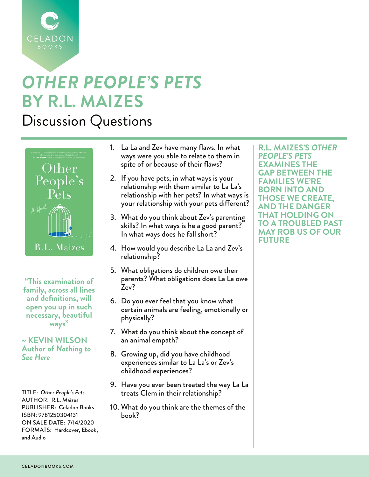

## *OTHER PEOPLE'S PETS* **BY R.L. MAIZES**

Discussion Questions



**"This examination of family, across all lines and definitions, will open you up in such necessary, beautiful ways"**

## **~ KEVIN WILSON Author of** *Nothing to See Here*

TITLE: *Other People's Pets* AUTHOR: R.L. Maizes PUBLISHER: Celadon Books ISBN: 9781250304131 ON SALE DATE: 7/14/2020 FORMATS: Hardcover, Ebook, and Audio

- 1. La La and Zev have many flaws. In what ways were you able to relate to them in spite of or because of their flaws?
- 2. If you have pets, in what ways is your relationship with them similar to La La's relationship with her pets? In what ways is your relationship with your pets different?
- 3. What do you think about Zev's parenting skills? In what ways is he a good parent? In what ways does he fall short?
- 4. How would you describe La La and Zev's relationship?
- 5. What obligations do children owe their parents? What obligations does La La owe Zev?
- 6. Do you ever feel that you know what certain animals are feeling, emotionally or physically?
- 7. What do you think about the concept of an animal empath?
- 8. Growing up, did you have childhood experiences similar to La La's or Zev's childhood experiences?
- 9. Have you ever been treated the way La La treats Clem in their relationship?
- 10. What do you think are the themes of the book?

**R.L. MAIZES'S** *OTHER PEOPLE'S PETS*  **EXAMINES THE GAP BETWEEN THE FAMILIES WE'RE BORN INTO AND THOSE WE CREATE, AND THE DANGER THAT HOLDING ON TO A TROUBLED PAST MAY ROB US OF OUR FUTURE**